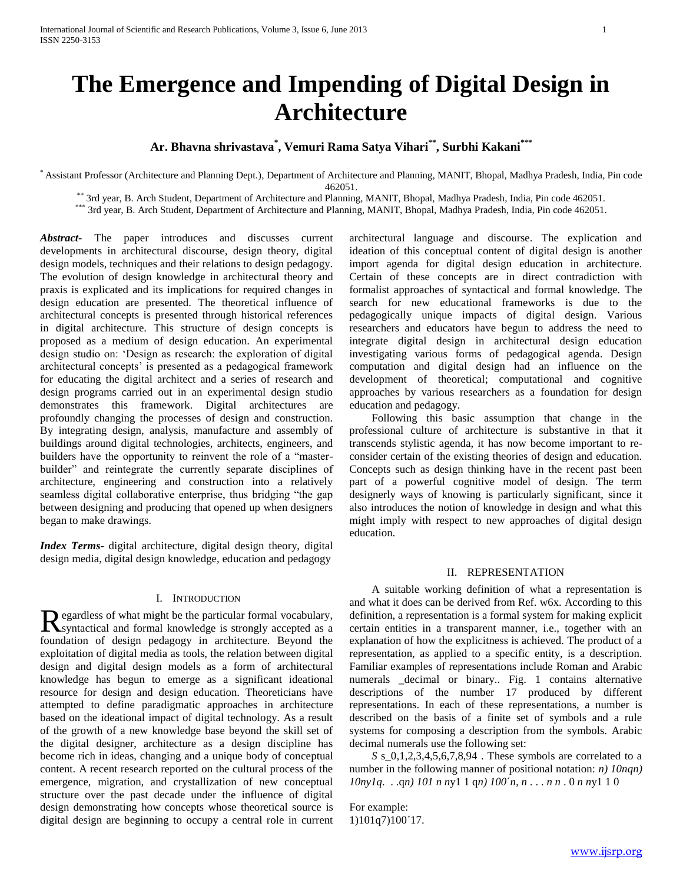# **The Emergence and Impending of Digital Design in Architecture**

# **Ar. Bhavna shrivastava\* , Vemuri Rama Satya Vihari\*\*, Surbhi Kakani\*\*\***

\* Assistant Professor (Architecture and Planning Dept.), Department of Architecture and Planning, MANIT, Bhopal, Madhya Pradesh, India, Pin code 462051.

\*\* 3rd year, B. Arch Student, Department of Architecture and Planning, MANIT, Bhopal, Madhya Pradesh, India, Pin code 462051.

\*\*\* 3rd year, B. Arch Student, Department of Architecture and Planning, MANIT, Bhopal, Madhya Pradesh, India, Pin code 462051.

*Abstract***-** The paper introduces and discusses current developments in architectural discourse, design theory, digital design models, techniques and their relations to design pedagogy. The evolution of design knowledge in architectural theory and praxis is explicated and its implications for required changes in design education are presented. The theoretical influence of architectural concepts is presented through historical references in digital architecture. This structure of design concepts is proposed as a medium of design education. An experimental design studio on: "Design as research: the exploration of digital architectural concepts" is presented as a pedagogical framework for educating the digital architect and a series of research and design programs carried out in an experimental design studio demonstrates this framework. Digital architectures are profoundly changing the processes of design and construction. By integrating design, analysis, manufacture and assembly of buildings around digital technologies, architects, engineers, and builders have the opportunity to reinvent the role of a "masterbuilder" and reintegrate the currently separate disciplines of architecture, engineering and construction into a relatively seamless digital collaborative enterprise, thus bridging "the gap between designing and producing that opened up when designers began to make drawings.

*Index Terms*- digital architecture, digital design theory, digital design media, digital design knowledge, education and pedagogy

#### I. INTRODUCTION

egardless of what might be the particular formal vocabulary, Regardless of what might be the particular formal vocabulary, syntactical and formal knowledge is strongly accepted as a foundation of design pedagogy in architecture. Beyond the exploitation of digital media as tools, the relation between digital design and digital design models as a form of architectural knowledge has begun to emerge as a significant ideational resource for design and design education. Theoreticians have attempted to define paradigmatic approaches in architecture based on the ideational impact of digital technology. As a result of the growth of a new knowledge base beyond the skill set of the digital designer, architecture as a design discipline has become rich in ideas, changing and a unique body of conceptual content. A recent research reported on the cultural process of the emergence, migration, and crystallization of new conceptual structure over the past decade under the influence of digital design demonstrating how concepts whose theoretical source is digital design are beginning to occupy a central role in current

architectural language and discourse. The explication and ideation of this conceptual content of digital design is another import agenda for digital design education in architecture. Certain of these concepts are in direct contradiction with formalist approaches of syntactical and formal knowledge. The search for new educational frameworks is due to the pedagogically unique impacts of digital design. Various researchers and educators have begun to address the need to integrate digital design in architectural design education investigating various forms of pedagogical agenda. Design computation and digital design had an influence on the development of theoretical; computational and cognitive approaches by various researchers as a foundation for design education and pedagogy.

 Following this basic assumption that change in the professional culture of architecture is substantive in that it transcends stylistic agenda, it has now become important to reconsider certain of the existing theories of design and education. Concepts such as design thinking have in the recent past been part of a powerful cognitive model of design. The term designerly ways of knowing is particularly significant, since it also introduces the notion of knowledge in design and what this might imply with respect to new approaches of digital design education.

#### II. REPRESENTATION

 A suitable working definition of what a representation is and what it does can be derived from Ref. w6x. According to this definition, a representation is a formal system for making explicit certain entities in a transparent manner, i.e., together with an explanation of how the explicitness is achieved. The product of a representation, as applied to a specific entity, is a description. Familiar examples of representations include Roman and Arabic numerals decimal or binary.. Fig. 1 contains alternative descriptions of the number 17 produced by different representations. In each of these representations, a number is described on the basis of a finite set of symbols and a rule systems for composing a description from the symbols. Arabic decimal numerals use the following set:

*S s* 0,1,2,3,4,5,6,7,8,94. These symbols are correlated to a number in the following manner of positional notation: *n) 10nqn) 10ny1q*. . .q*n) 101 n n*y1 1 q*n) 100*´*n, n* . . . *n n* . 0 *n n*y1 1 0

For example: 1)101q7)100´17.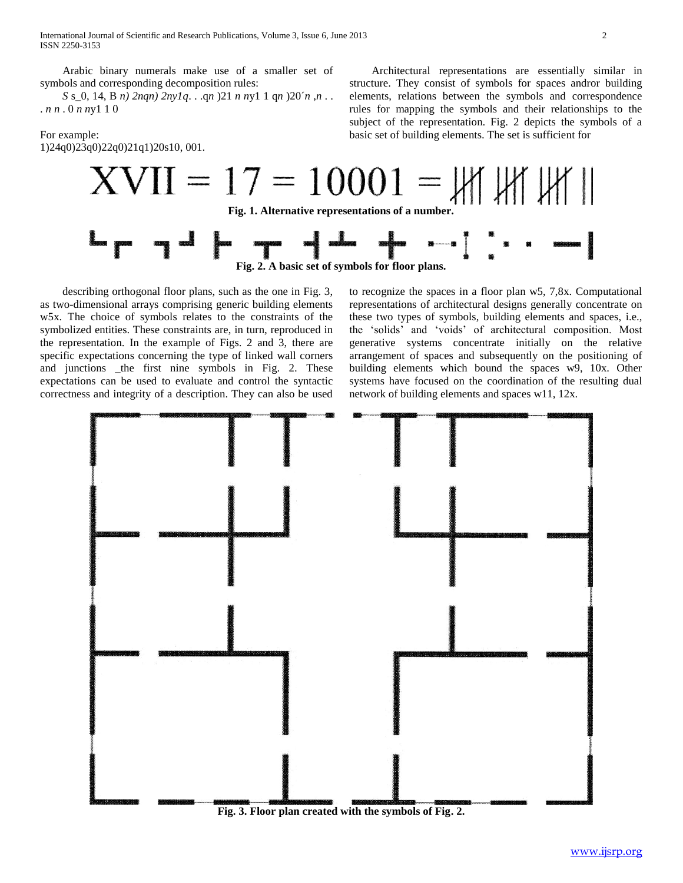Arabic binary numerals make use of a smaller set of symbols and corresponding decomposition rules:

 *S* s\_0, 14, B *n) 2nqn) 2ny1q*. . .q*n* )21 *n n*y1 1 q*n* )20´*n* ,*n* . . . *n n* . 0 *n n*y1 1 0

For example: 1)24q0)23q0)22q0)21q1)20s10, 001.

 Architectural representations are essentially similar in structure. They consist of symbols for spaces andror building elements, relations between the symbols and correspondence rules for mapping the symbols and their relationships to the subject of the representation. Fig. 2 depicts the symbols of a basic set of building elements. The set is sufficient for

# $\text{VII} = 17 = 10001 = \text{mW} \text{ with} 10001$ **Fig. 1. Alternative representations of a number.** 니 ~~

**Fig. 2. A basic set of symbols for floor plans.**

T

 describing orthogonal floor plans, such as the one in Fig. 3, as two-dimensional arrays comprising generic building elements w5x. The choice of symbols relates to the constraints of the symbolized entities. These constraints are, in turn, reproduced in the representation. In the example of Figs. 2 and 3, there are specific expectations concerning the type of linked wall corners and junctions \_the first nine symbols in Fig. 2. These expectations can be used to evaluate and control the syntactic correctness and integrity of a description. They can also be used to recognize the spaces in a floor plan w5, 7,8x. Computational representations of architectural designs generally concentrate on these two types of symbols, building elements and spaces, i.e., the "solids" and "voids" of architectural composition. Most generative systems concentrate initially on the relative arrangement of spaces and subsequently on the positioning of building elements which bound the spaces w9, 10x. Other systems have focused on the coordination of the resulting dual network of building elements and spaces w11, 12x.



**Fig. 3. Floor plan created with the symbols of Fig. 2.**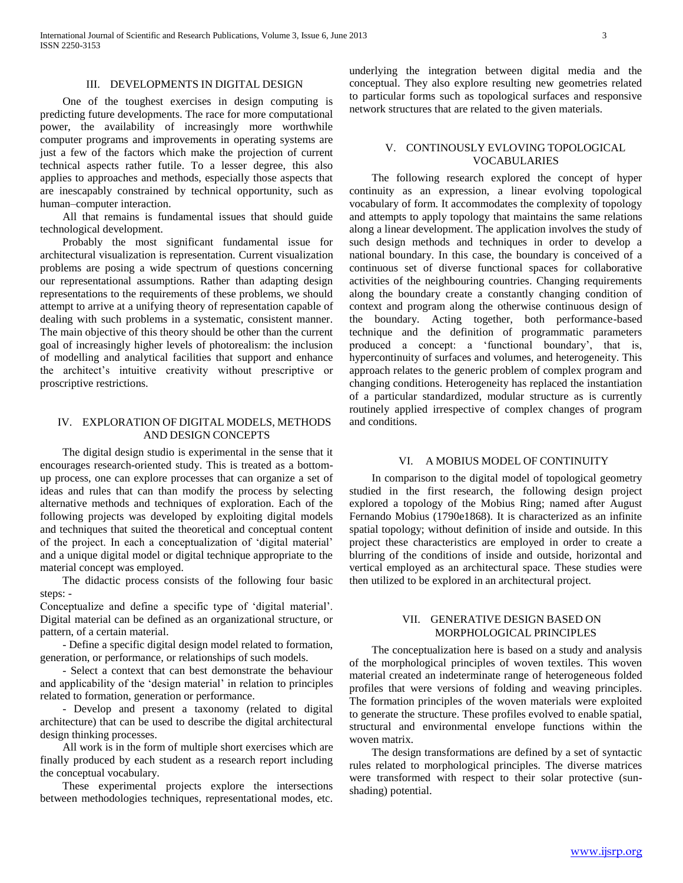#### III. DEVELOPMENTS IN DIGITAL DESIGN

 One of the toughest exercises in design computing is predicting future developments. The race for more computational power, the availability of increasingly more worthwhile computer programs and improvements in operating systems are just a few of the factors which make the projection of current technical aspects rather futile. To a lesser degree, this also applies to approaches and methods, especially those aspects that are inescapably constrained by technical opportunity, such as human–computer interaction.

 All that remains is fundamental issues that should guide technological development.

 Probably the most significant fundamental issue for architectural visualization is representation. Current visualization problems are posing a wide spectrum of questions concerning our representational assumptions. Rather than adapting design representations to the requirements of these problems, we should attempt to arrive at a unifying theory of representation capable of dealing with such problems in a systematic, consistent manner. The main objective of this theory should be other than the current goal of increasingly higher levels of photorealism: the inclusion of modelling and analytical facilities that support and enhance the architect"s intuitive creativity without prescriptive or proscriptive restrictions.

# IV. EXPLORATION OF DIGITAL MODELS, METHODS AND DESIGN CONCEPTS

 The digital design studio is experimental in the sense that it encourages research-oriented study. This is treated as a bottomup process, one can explore processes that can organize a set of ideas and rules that can than modify the process by selecting alternative methods and techniques of exploration. Each of the following projects was developed by exploiting digital models and techniques that suited the theoretical and conceptual content of the project. In each a conceptualization of "digital material" and a unique digital model or digital technique appropriate to the material concept was employed.

 The didactic process consists of the following four basic steps: -

Conceptualize and define a specific type of "digital material". Digital material can be defined as an organizational structure, or pattern, of a certain material.

 - Define a specific digital design model related to formation, generation, or performance, or relationships of such models.

 - Select a context that can best demonstrate the behaviour and applicability of the 'design material' in relation to principles related to formation, generation or performance.

 - Develop and present a taxonomy (related to digital architecture) that can be used to describe the digital architectural design thinking processes.

 All work is in the form of multiple short exercises which are finally produced by each student as a research report including the conceptual vocabulary.

 These experimental projects explore the intersections between methodologies techniques, representational modes, etc. underlying the integration between digital media and the conceptual. They also explore resulting new geometries related to particular forms such as topological surfaces and responsive network structures that are related to the given materials.

# V. CONTINOUSLY EVLOVING TOPOLOGICAL VOCABULARIES

 The following research explored the concept of hyper continuity as an expression, a linear evolving topological vocabulary of form. It accommodates the complexity of topology and attempts to apply topology that maintains the same relations along a linear development. The application involves the study of such design methods and techniques in order to develop a national boundary. In this case, the boundary is conceived of a continuous set of diverse functional spaces for collaborative activities of the neighbouring countries. Changing requirements along the boundary create a constantly changing condition of context and program along the otherwise continuous design of the boundary. Acting together, both performance-based technique and the definition of programmatic parameters produced a concept: a "functional boundary", that is, hypercontinuity of surfaces and volumes, and heterogeneity. This approach relates to the generic problem of complex program and changing conditions. Heterogeneity has replaced the instantiation of a particular standardized, modular structure as is currently routinely applied irrespective of complex changes of program and conditions.

#### VI. A MOBIUS MODEL OF CONTINUITY

 In comparison to the digital model of topological geometry studied in the first research, the following design project explored a topology of the Mobius Ring; named after August Fernando Mobius (1790e1868). It is characterized as an infinite spatial topology; without definition of inside and outside. In this project these characteristics are employed in order to create a blurring of the conditions of inside and outside, horizontal and vertical employed as an architectural space. These studies were then utilized to be explored in an architectural project.

# VII. GENERATIVE DESIGN BASED ON MORPHOLOGICAL PRINCIPLES

 The conceptualization here is based on a study and analysis of the morphological principles of woven textiles. This woven material created an indeterminate range of heterogeneous folded profiles that were versions of folding and weaving principles. The formation principles of the woven materials were exploited to generate the structure. These profiles evolved to enable spatial, structural and environmental envelope functions within the woven matrix.

 The design transformations are defined by a set of syntactic rules related to morphological principles. The diverse matrices were transformed with respect to their solar protective (sunshading) potential.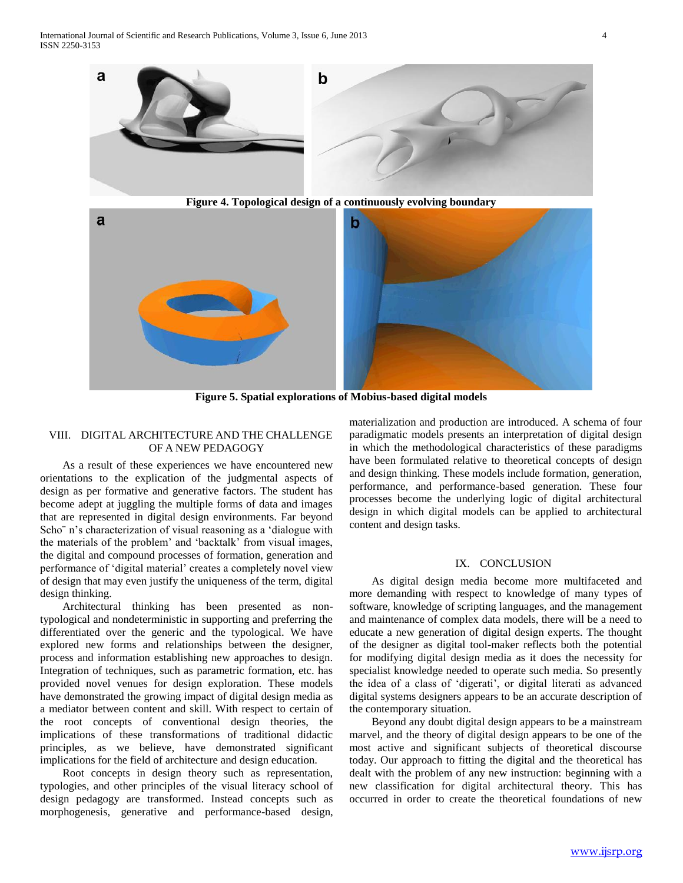



**Figure 5. Spatial explorations of Mobius-based digital models**

# VIII. DIGITAL ARCHITECTURE AND THE CHALLENGE OF A NEW PEDAGOGY

 As a result of these experiences we have encountered new orientations to the explication of the judgmental aspects of design as per formative and generative factors. The student has become adept at juggling the multiple forms of data and images that are represented in digital design environments. Far beyond Scho" n's characterization of visual reasoning as a 'dialogue with the materials of the problem" and "backtalk" from visual images, the digital and compound processes of formation, generation and performance of "digital material" creates a completely novel view of design that may even justify the uniqueness of the term, digital design thinking.

 Architectural thinking has been presented as nontypological and nondeterministic in supporting and preferring the differentiated over the generic and the typological. We have explored new forms and relationships between the designer, process and information establishing new approaches to design. Integration of techniques, such as parametric formation, etc. has provided novel venues for design exploration. These models have demonstrated the growing impact of digital design media as a mediator between content and skill. With respect to certain of the root concepts of conventional design theories, the implications of these transformations of traditional didactic principles, as we believe, have demonstrated significant implications for the field of architecture and design education.

 Root concepts in design theory such as representation, typologies, and other principles of the visual literacy school of design pedagogy are transformed. Instead concepts such as morphogenesis, generative and performance-based design, materialization and production are introduced. A schema of four paradigmatic models presents an interpretation of digital design in which the methodological characteristics of these paradigms have been formulated relative to theoretical concepts of design and design thinking. These models include formation, generation, performance, and performance-based generation. These four processes become the underlying logic of digital architectural design in which digital models can be applied to architectural content and design tasks.

## IX. CONCLUSION

 As digital design media become more multifaceted and more demanding with respect to knowledge of many types of software, knowledge of scripting languages, and the management and maintenance of complex data models, there will be a need to educate a new generation of digital design experts. The thought of the designer as digital tool-maker reflects both the potential for modifying digital design media as it does the necessity for specialist knowledge needed to operate such media. So presently the idea of a class of "digerati", or digital literati as advanced digital systems designers appears to be an accurate description of the contemporary situation.

 Beyond any doubt digital design appears to be a mainstream marvel, and the theory of digital design appears to be one of the most active and significant subjects of theoretical discourse today. Our approach to fitting the digital and the theoretical has dealt with the problem of any new instruction: beginning with a new classification for digital architectural theory. This has occurred in order to create the theoretical foundations of new